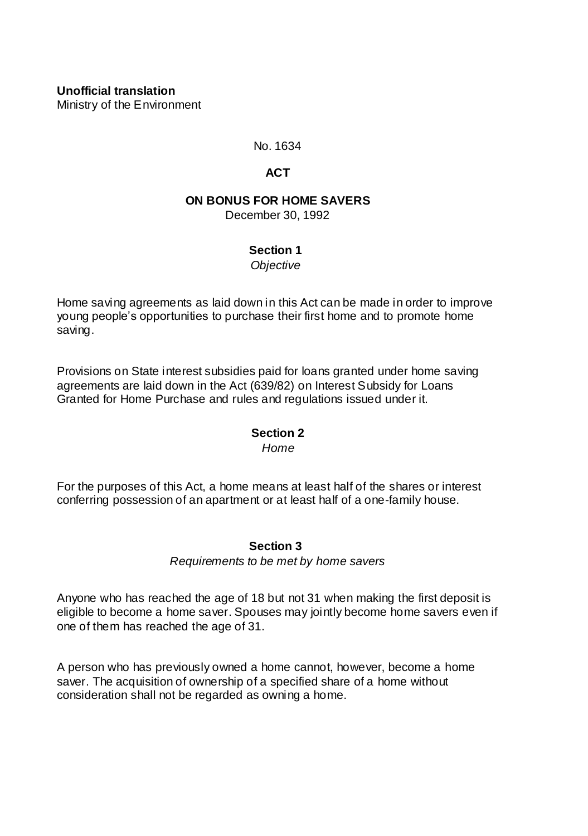**Unofficial translation** Ministry of the Environment

No. 1634

## **ACT**

# **ON BONUS FOR HOME SAVERS**

December 30, 1992

### **Section 1**

*Objective*

Home saving agreements as laid down in this Act can be made in order to improve young people's opportunities to purchase their first home and to promote home saving.

Provisions on State interest subsidies paid for loans granted under home saving agreements are laid down in the Act (639/82) on Interest Subsidy for Loans Granted for Home Purchase and rules and regulations issued under it.

## **Section 2**

*Home*

For the purposes of this Act, a home means at least half of the shares or interest conferring possession of an apartment or at least half of a one-family house.

## **Section 3**

*Requirements to be met by home savers*

Anyone who has reached the age of 18 but not 31 when making the first deposit is eligible to become a home saver. Spouses may jointly become home savers even if one of them has reached the age of 31.

A person who has previously owned a home cannot, however, become a home saver. The acquisition of ownership of a specified share of a home without consideration shall not be regarded as owning a home.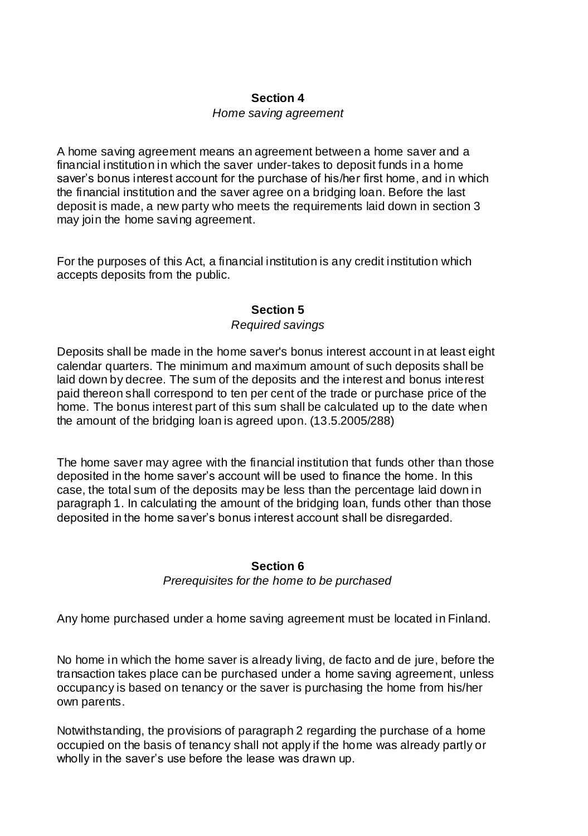#### **Section 4**

#### *Home saving agreement*

A home saving agreement means an agreement between a home saver and a financial institution in which the saver under-takes to deposit funds in a home saver's bonus interest account for the purchase of his/her first home, and in which the financial institution and the saver agree on a bridging loan. Before the last deposit is made, a new party who meets the requirements laid down in section 3 may join the home saving agreement.

For the purposes of this Act, a financial institution is any credit institution which accepts deposits from the public.

### **Section 5**

#### *Required savings*

Deposits shall be made in the home saver's bonus interest account in at least eight calendar quarters. The minimum and maximum amount of such deposits shall be laid down by decree. The sum of the deposits and the interest and bonus interest paid thereon shall correspond to ten per cent of the trade or purchase price of the home. The bonus interest part of this sum shall be calculated up to the date when the amount of the bridging loan is agreed upon. (13.5.2005/288)

The home saver may agree with the financial institution that funds other than those deposited in the home saver's account will be used to finance the home. In this case, the total sum of the deposits may be less than the percentage laid down in paragraph 1. In calculating the amount of the bridging loan, funds other than those deposited in the home saver's bonus interest account shall be disregarded.

### **Section 6**

#### *Prerequisites for the home to be purchased*

Any home purchased under a home saving agreement must be located in Finland.

No home in which the home saver is already living, de facto and de jure, before the transaction takes place can be purchased under a home saving agreement, unless occupancy is based on tenancy or the saver is purchasing the home from his/her own parents.

Notwithstanding, the provisions of paragraph 2 regarding the purchase of a home occupied on the basis of tenancy shall not apply if the home was already partly or wholly in the saver's use before the lease was drawn up.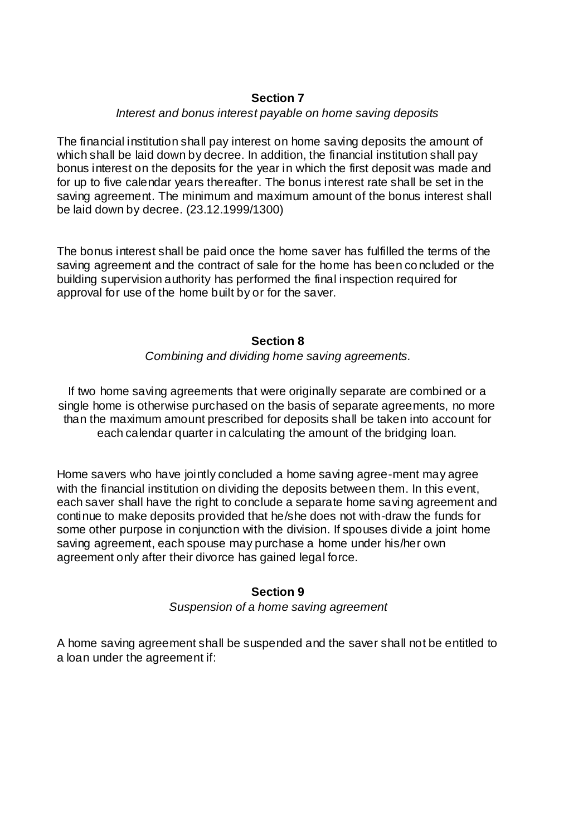## **Section 7**

### *Interest and bonus interest payable on home saving deposits*

The financial institution shall pay interest on home saving deposits the amount of which shall be laid down by decree. In addition, the financial institution shall pay bonus interest on the deposits for the year in which the first deposit was made and for up to five calendar years thereafter. The bonus interest rate shall be set in the saving agreement. The minimum and maximum amount of the bonus interest shall be laid down by decree. (23.12.1999/1300)

The bonus interest shall be paid once the home saver has fulfilled the terms of the saving agreement and the contract of sale for the home has been concluded or the building supervision authority has performed the final inspection required for approval for use of the home built by or for the saver.

#### **Section 8**

*Combining and dividing home saving agreements.*

If two home saving agreements that were originally separate are combined or a single home is otherwise purchased on the basis of separate agreements, no more than the maximum amount prescribed for deposits shall be taken into account for each calendar quarter in calculating the amount of the bridging loan.

Home savers who have jointly concluded a home saving agree-ment may agree with the financial institution on dividing the deposits between them. In this event, each saver shall have the right to conclude a separate home saving agreement and continue to make deposits provided that he/she does not with-draw the funds for some other purpose in conjunction with the division. If spouses divide a joint home saving agreement, each spouse may purchase a home under his/her own agreement only after their divorce has gained legal force.

### **Section 9**

*Suspension of a home saving agreement*

A home saving agreement shall be suspended and the saver shall not be entitled to a loan under the agreement if: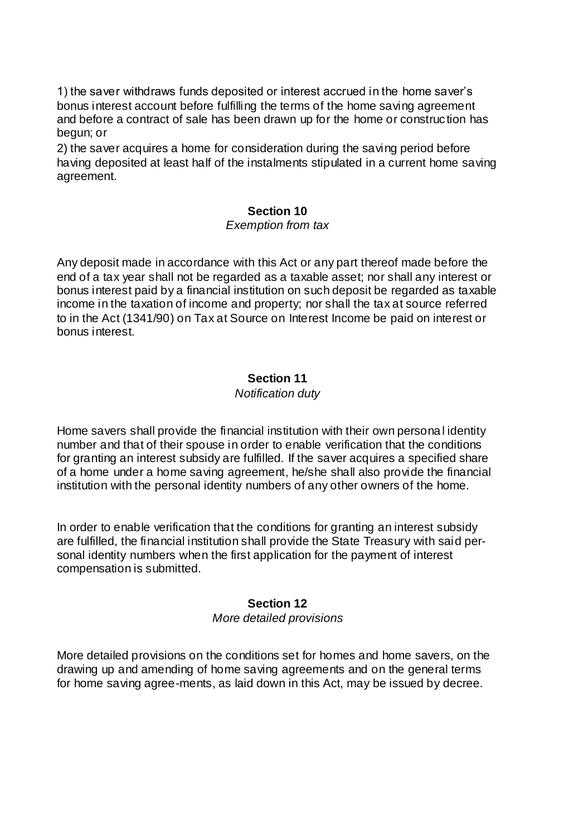1) the saver withdraws funds deposited or interest accrued in the home saver's bonus interest account before fulfilling the terms of the home saving agreement and before a contract of sale has been drawn up for the home or construc tion has begun; or

2) the saver acquires a home for consideration during the saving period before having deposited at least half of the instalments stipulated in a current home saving agreement.

### **Section 10**

#### *Exemption from tax*

Any deposit made in accordance with this Act or any part thereof made before the end of a tax year shall not be regarded as a taxable asset; nor shall any interest or bonus interest paid by a financial institution on such deposit be regarded as taxable income in the taxation of income and property; nor shall the tax at source referred to in the Act (1341/90) on Tax at Source on Interest Income be paid on interest or bonus interest.

### **Section 11**

### *Notification duty*

Home savers shall provide the financial institution with their own persona l identity number and that of their spouse in order to enable verification that the conditions for granting an interest subsidy are fulfilled. If the saver acquires a specified share of a home under a home saving agreement, he/she shall also provide the financial institution with the personal identity numbers of any other owners of the home.

In order to enable verification that the conditions for granting an interest subsidy are fulfilled, the financial institution shall provide the State Treasury with said personal identity numbers when the first application for the payment of interest compensation is submitted.

## **Section 12**

### *More detailed provisions*

More detailed provisions on the conditions set for homes and home savers, on the drawing up and amending of home saving agreements and on the general terms for home saving agree-ments, as laid down in this Act, may be issued by decree.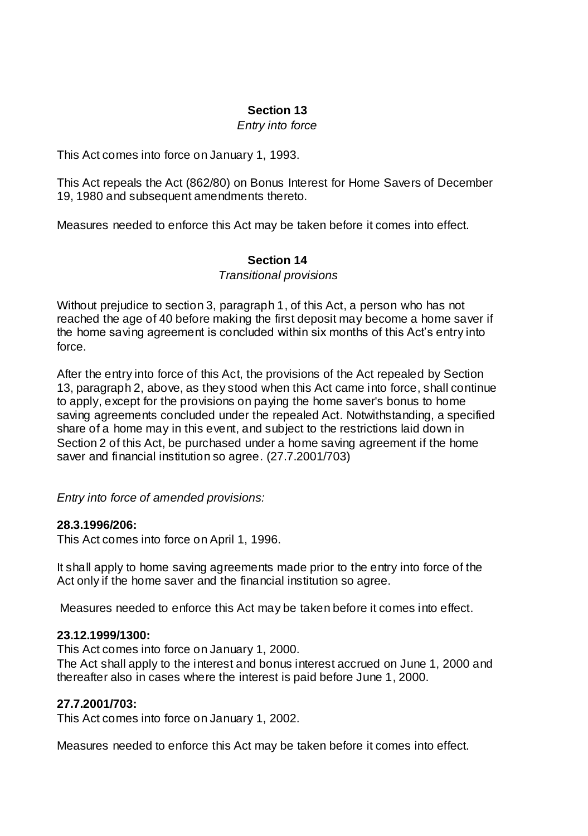### **Section 13**

### *Entry into force*

This Act comes into force on January 1, 1993.

This Act repeals the Act (862/80) on Bonus Interest for Home Savers of December 19, 1980 and subsequent amendments thereto.

Measures needed to enforce this Act may be taken before it comes into effect.

### **Section 14**

*Transitional provisions*

Without prejudice to section 3, paragraph 1, of this Act, a person who has not reached the age of 40 before making the first deposit may become a home saver if the home saving agreement is concluded within six months of this Act's entry into force.

After the entry into force of this Act, the provisions of the Act repealed by Section 13, paragraph 2, above, as they stood when this Act came into force, shall continue to apply, except for the provisions on paying the home saver's bonus to home saving agreements concluded under the repealed Act. Notwithstanding, a specified share of a home may in this event, and subject to the restrictions laid down in Section 2 of this Act, be purchased under a home saving agreement if the home saver and financial institution so agree. (27.7.2001/703)

*Entry into force of amended provisions:*

### **28.3.1996/206:**

This Act comes into force on April 1, 1996.

It shall apply to home saving agreements made prior to the entry into force of the Act only if the home saver and the financial institution so agree.

Measures needed to enforce this Act may be taken before it comes into effect.

### **23.12.1999/1300:**

This Act comes into force on January 1, 2000.

The Act shall apply to the interest and bonus interest accrued on June 1, 2000 and thereafter also in cases where the interest is paid before June 1, 2000.

## **27.7.2001/703:**

This Act comes into force on January 1, 2002.

Measures needed to enforce this Act may be taken before it comes into effect.